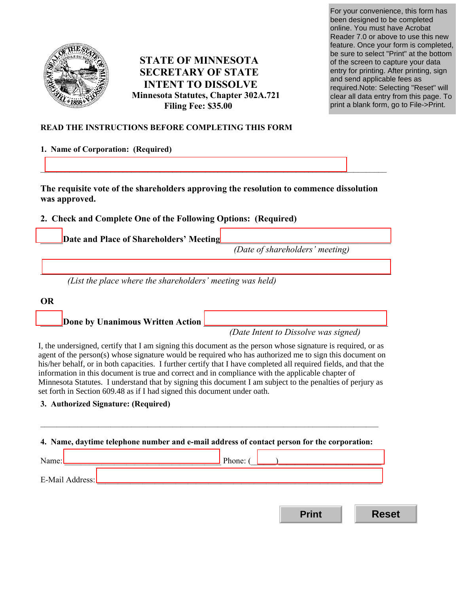

# **STATE OF MINNESOTA SECRETARY OF STATE INTENT TO DISSOLVE Minnesota Statutes, Chapter 302A.721 Filing Fee: \$35.00**

For your convenience, this form has been designed to be completed online. You must have Acrobat Reader 7.0 or above to use this new feature. Once your form is completed, be sure to select "Print" at the bottom of the screen to capture your data entry for printing. After printing, sign and send applicable fees as required.Note: Selecting "Reset" will clear all data entry from this page. To print a blank form, go to File->Print.

# **READ THE INSTRUCTIONS BEFORE COMPLETING THIS FORM**

### **1. Name of Corporation: (Required)**

**The requisite vote of the shareholders approving the resolution to commence dissolution was approved.** 

\_\_\_\_\_\_\_\_\_\_\_\_\_\_\_\_\_\_\_\_\_\_\_\_\_\_\_\_\_\_\_\_\_\_\_\_\_\_\_\_\_\_\_\_\_\_\_\_\_\_\_\_\_\_\_\_\_\_\_\_\_\_\_\_\_\_\_\_\_\_\_\_\_\_\_\_\_\_

\_\_\_\_\_\_\_\_\_\_\_\_\_\_\_\_\_\_\_\_\_\_\_\_\_\_\_\_\_\_\_\_\_\_\_\_\_\_\_\_\_\_\_\_\_\_\_\_\_\_\_\_\_\_\_\_\_\_\_\_\_\_\_\_\_\_\_\_\_\_\_\_\_\_\_\_\_\_\_\_\_\_\_\_

# **2. Check and Complete One of the Following Options: (Required)**

Date and Place of Shareholders' Meeting

*(Date of shareholders' meeting)* 

*(List the place where the shareholders' meeting was held)* 

**OR** 

Done by Unanimous Written Action

*(Date Intent to Dissolve was signed)* 

**Print Reset**

agent of the person(s) whose signature would be required who has authorized me to sign this document on his/her behalf, or in both capacities. I further certify that I have completed all required fields, and that the information in this document is true and correct and in compliance with the applicable chapter of Minnesota Statutes. I understand that by signing this document I am subject to the penalties of perjury as I, the undersigned, certify that I am signing this document as the person whose signature is required, or as set forth in Section 609.48 as if I had signed this document under oath.

 $\_$ 

## **3. Authorized Signature: (Required)**

|                                                                                                                                                                                                                                                                                                                                                                                                               | Phone: $\begin{pmatrix} 1 & 1 \\ 1 & 1 \end{pmatrix}$                                                                                                                                                                          |  |
|---------------------------------------------------------------------------------------------------------------------------------------------------------------------------------------------------------------------------------------------------------------------------------------------------------------------------------------------------------------------------------------------------------------|--------------------------------------------------------------------------------------------------------------------------------------------------------------------------------------------------------------------------------|--|
| Name: $\frac{1}{\sqrt{1-\frac{1}{2}}\sqrt{1-\frac{1}{2}}\sqrt{1-\frac{1}{2}}\sqrt{1-\frac{1}{2}}\sqrt{1-\frac{1}{2}}\sqrt{1-\frac{1}{2}}\sqrt{1-\frac{1}{2}}\sqrt{1-\frac{1}{2}}\sqrt{1-\frac{1}{2}}\sqrt{1-\frac{1}{2}}\sqrt{1-\frac{1}{2}}\sqrt{1-\frac{1}{2}}\sqrt{1-\frac{1}{2}}\sqrt{1-\frac{1}{2}}\sqrt{1-\frac{1}{2}}\sqrt{1-\frac{1}{2}}\sqrt{1-\frac{1}{2}}\sqrt{1-\frac{1}{2}}\sqrt{1-\frac{1}{2}}$ |                                                                                                                                                                                                                                |  |
|                                                                                                                                                                                                                                                                                                                                                                                                               | E-Mail Address: Later and Contract and Contract and Contract and Contract and Contract and Contract and Contract and Contract and Contract and Contract and Contract and Contract and Contract and Contract and Contract and C |  |